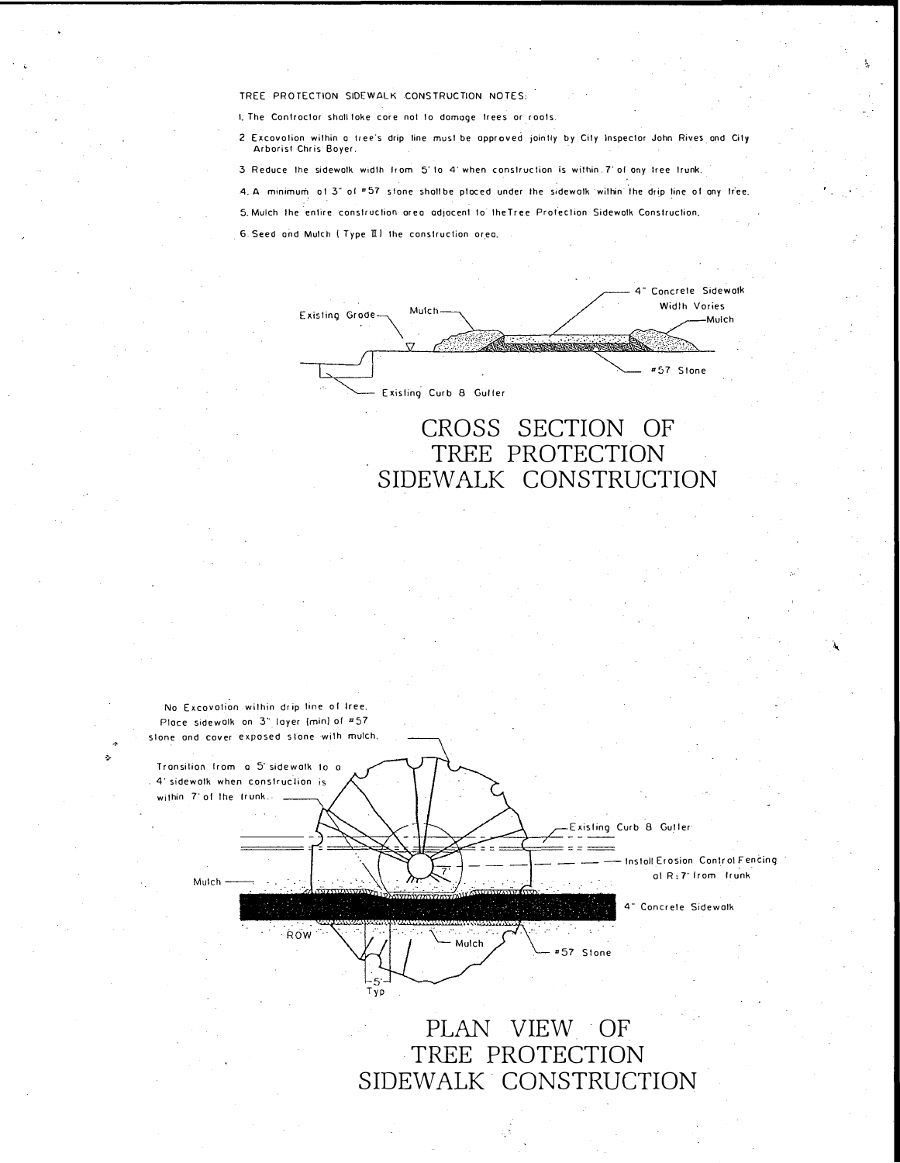TREE PROTECTION SIDEWALK CONSTRUCTION NOTES:

I. The Controctor shall toke core not to domage frees or roots.

2 Excovotion within a tree's drip line must be approved jointly by City Inspector John Rives and City Arborist Chris Bover.

3 Reduce the sidewolk width from 5' to 4' when construction is within 7' of ony free trunk.

4. A minimum of 3" of "57 stone shall be placed under the sidewalk within the drip line of any free.

5. Mulch the entire construction area adjacent to the Tree Profection Sidewalk Construction.

6. Seed and Mulch (Type II) the construction orea.

| Mulch-<br>Existing Grode-                           | 4" Concrete Sidewa<br>Width Vories<br>-Mulch |
|-----------------------------------------------------|----------------------------------------------|
| $\mathcal{L}^{\bullet}$ .<br>Existing Curb 8 Guller | #57 Stone                                    |
|                                                     |                                              |

## CROSS SECTION OF TREE PROTECTION SIDEWALK CONSTRUCTION



## PLAN VIEW OF TREE PROTECTION SIDEWALK CONSTRUCTION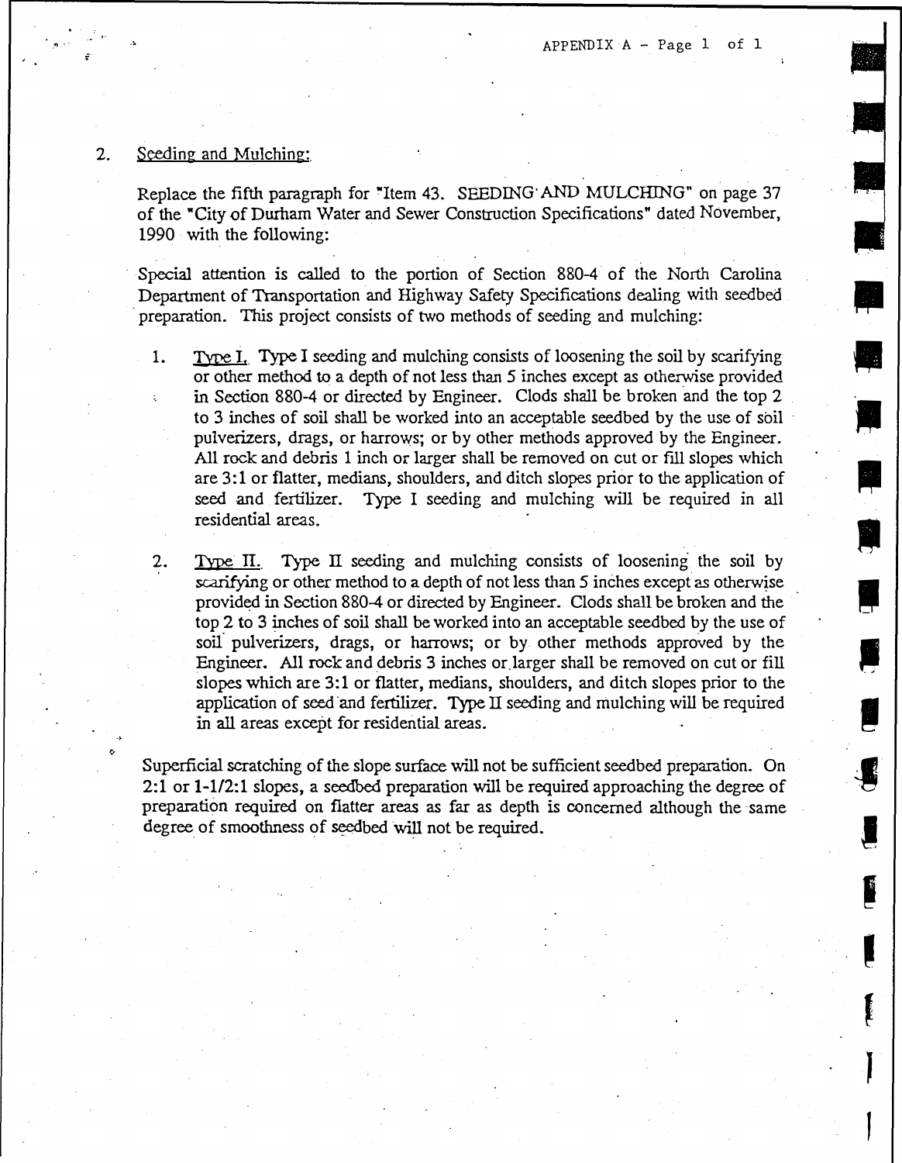$\frac{1}{\sqrt{2}}$ 

•

।<br>न

eres en la partie de la partie de la partie de la partie de la partie de la partie de la partie de la partie d<br>La partie de la partie de la partie de la partie de la partie de la partie de la partie de la partie de la par

**I** 

 $\mathbf{\nabla}$ 

**-**

,

I

|<br>|<br>|<br>|<br>|

**'** 

**E** 

 $\begin{array}{c} \mathbf{F} \\ \mathbf{F} \\ \mathbf{F} \end{array}$ 

l

## 2. Seeding and Mulching:

Replace the fifth paragraph for "Item 43. SEEDING· AND MULCHING" on page 37 of the "City of Durham Water and Sewer Construction Specifications" dated November, 1990 with the following:

Special attention is called to the portion of Section 880-4 of the North Carolina preparation. This project consists of two methods of seeding and mulching: Department of Transportation and Highway Safety Specifications dealing with seedbed

- 1. Type I. Type I seeding and mulching consists of loosening the soil by scarifying or other method to a depth of not less than 5 inches except as otherwise provided in Section 880-4 or directed by Engineer. Clods shall be broken and the top 2 to 3 inches of soil shall be worked into an acceptable seedbed by the use of soil pulverizers, drags, or harrows; or by other methods approved by the Engineer. All rock and debris 1 inch or larger shall be removed on cut or fill slopes which are 3:1 or flatter, medians, shoulders, and ditch slopes prior to the application of seed and fertilizer. Type I seeding and mulching will be required in all residential areas.
- 2. Type II. Type II seeding and mulching consists of loosening the soil by scarifying or other method to a depth of not less than 5 inches except as otherwise provided in Section 880-4 or directed by Engineer. Clods shall be broken and the top 2 to 3 inches of soil shall be worked into an acceptable seedbed by the use of soil pulverizers, drags, or harrows; or by other methods approved by the Engineer. All rock and debris 3 inches or.larger shall be removed on cut or fill slopes which are 3:1 or flatter, medians, shoulders, and ditch slopes prior to the application of seed and fertilizer. Type  $II$  seeding and mulching will be required in all areas except for residential areas.

Superficial scratching of the slope surface will not be sufficient seedbed preparation. On 2:1 or 1-1/2:1 slopes, a seedbed preparation will be required approaching the degree of preparation required on flatter areas as far as depth is concerned although the same degree of smoothness of seedbed will not be required.